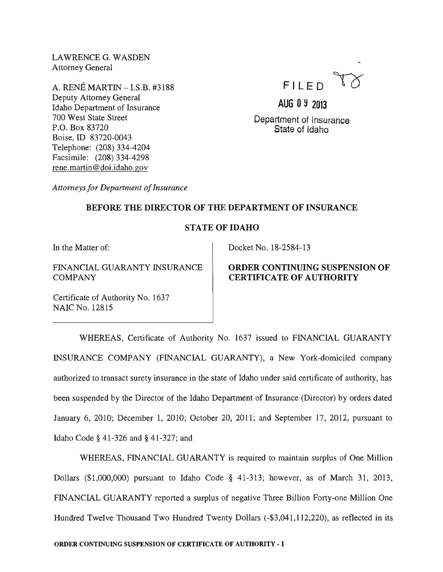LAWRENCE G. WASDEN Attorney General

A. RENE MARTIN - I.S.B. #3188 Deputy Attorney General Idaho Department of Insurance 700 West State Street P.O. Box 83720 Boise, ID 83720-0043 Telephone: (208) 334-4204 Facsimile: (208) 334-4298 rene.martin@doi.idaho.gov



# AUG 09 2013

Department of Insurance State of Idaho

*Attorneys for Department of Insurance* 

## BEFORE THE DIRECTOR OF THE DEPARTMENT OF INSURANCE

# STATE OF IDAHO

In the Matter of:

### FINANCIAL GUARANTY INSURANCE **COMPANY**

Certificate of Authority No. 1637 NAIC No. 12815

### Docket No. 18-2584-13

# ORDER CONTINUING SUSPENSION OF CERTIFICATE OF AUTHORITY

WHEREAS, Certificate of Authority No. 1637 issued to FINANCIAL GUARANTY INSURANCE COMPANY (FINANCIAL GUARANTY), a New York-domiciled company authorized to transact surety insurance in the state of Idaho under said certificate of authority, has been suspended by the Director of the Idaho Department of Insurance (Director) by orders dated January 6, 2010; December 1, 2010; October 20, 2011; and September 17, 2012, pursuant to Idaho Code § 41-326 and § 41-327; and

WHEREAS, FINANCIAL GUARANTY is required to maintain surplus of One Million Dollars (\$1,000,000) pursuant to Idaho Code § 41-313; however, as of March 31, 2013, FINANCIAL GUARANTY reported a surplus of negative Three Billion Forty-one Million One Hundred Twelve Thousand Two Hundred Twenty Dollars (-\$3,041,112,220), as reflected in its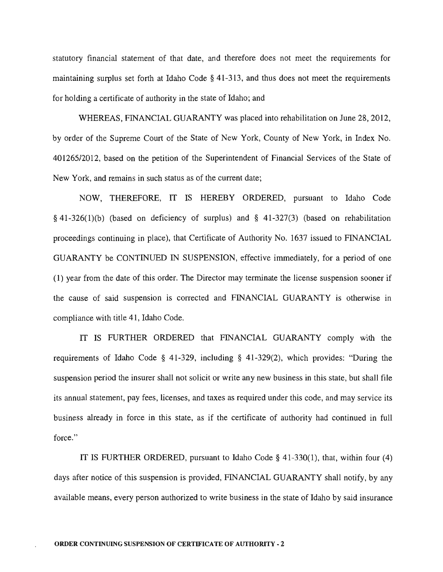statutory financial statement of that date, and therefore does not meet the requirements for maintaining surplus set forth at Idaho Code § 41-313, and thus does not meet the requirements for holding a certificate of authority in the state of Idaho; and

WHEREAS, FlNANCIAL GUARANTY was placed into rehabilitation on June 28, 2012, by order of the Supreme Court of the State of New York, County of New York, in Index No. 40126512012, based on the petition of the Superintendent of Financial Services of the State of New York, and remains in such status as of the current date;

NOW, THEREFORE, IT IS HEREBY ORDERED, pursuant to Idaho Code  $§$  41-326(1)(b) (based on deficiency of surplus) and  $§$  41-327(3) (based on rehabilitation proceedings continuing in place), that Certificate of Authority No. 1637 issued to FlNANCIAL GUARANTY be CONTlNUED IN SUSPENSION, effective immediately, for a period of one (l) year from the date of this order. The Director may terminate the license suspension sooner if the cause of said suspension is corrected and FlNANCIAL GUARANTY is otherwise in compliance with title 41, Idaho Code.

IT IS FURTHER ORDERED that FlNANCIAL GUARANTY comply with the requirements of Idaho Code § 41-329, including § 41-329(2), which provides: "During the suspension period the insurer shall not solicit or write any new business in this state, but shall file its annual statement, pay fees, licenses, and taxes as required under this code, and may service its business already in force in this state, as if the certificate of authority had continued in full force."

IT IS FURTHER ORDERED, pursuant to Idaho Code § 41-330(1), that, within four (4) days after notice of this suspension is provided, FINANCIAL GUARANTY shall notify, by any available means, every person authorized to write business in the state of Idaho by said insurance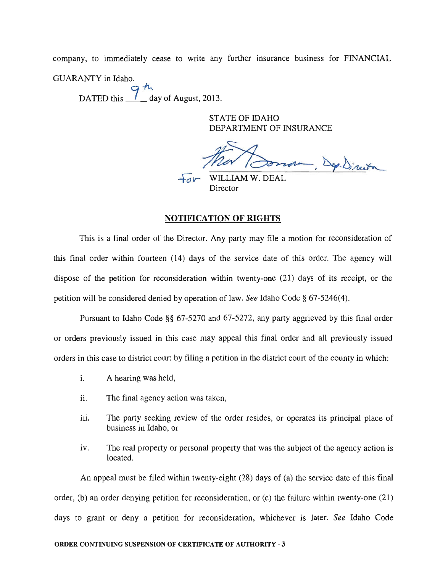company, to immediately cease to write any further insurance business for FINANCIAL GUARANTY in Idaho.

DATED this  $\frac{9 \text{ h}}{1 \text{ day of August, }2013.}$ 

STATE OF IDAHO DEPARTMENT OF INSURANCE

more, Dep.Director

 $\overline{+}$ o $\overline{v}$  WILLIAM W. DEAL Director

#### NOTIFICATION OF RIGHTS

This is a final order of the Director. Any party may file a motion for reconsideration of this final order within fourteen (14) days of the service date of this order. The agency will dispose of the petition for reconsideration within twenty-one (21) days of its receipt, or the petition will be considered denied by operation of law. *See* Idaho Code § 67-5246(4).

Pursuant to Idaho Code §§ 67-5270 and 67-5272, any party aggrieved by this final order or orders previously issued in this case may appeal this final order and all previously issued orders in this case to district court by filing a petition in the district court of the county in which:

- i. A hearing was held,
- ii. The final agency action was taken,
- iii. The party seeking review of the order resides, or operates its principal place of business in Idaho, or
- iv. The real property or personal property that was the subject of the agency action is located.

An appeal must be filed within twenty-eight (28) days of (a) the service date of this final order, (b) an order denying petition for reconsideration, or (c) the failure within twenty-one (21) days to grant or deny a petition for reconsideration, whichever is later. *See* Idaho Code

#### ORDER CONTINUING SUSPENSION OF CERTIFICATE OF AUTHORITY· 3